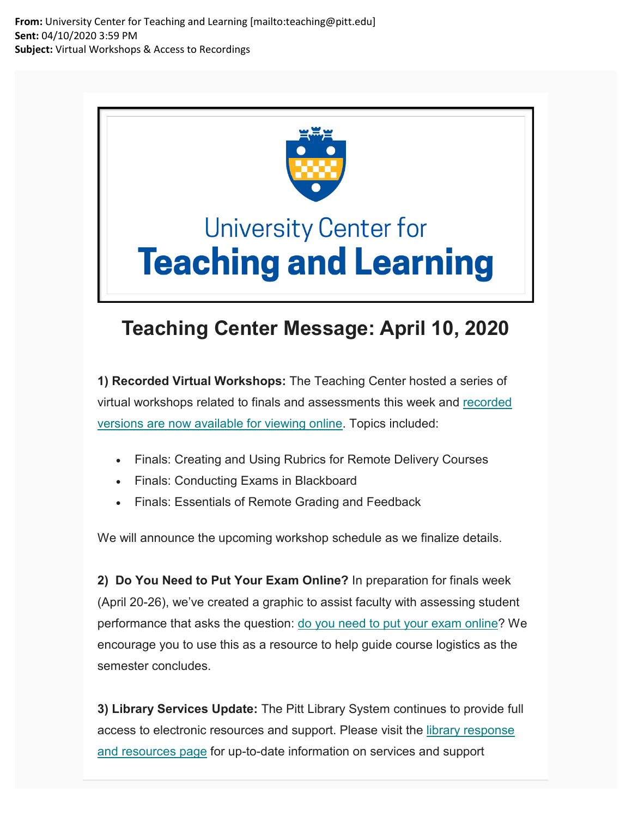**From:** University Center for Teaching and Learning [mailto:teaching@pitt.edu] **Sent:** 04/10/2020 3:59 PM **Subject:** Virtual Workshops & Access to Recordings



## **University Center for Teaching and Learning**

## **Teaching Center Message: April 10, 2020**

**1) Recorded Virtual Workshops:** The Teaching Center hosted a series of virtual workshops related to finals and assessments this week and [recorded](https://nam05.safelinks.protection.outlook.com/?url=https%3A%2F%2Fpitt.us11.list-manage.com%2Ftrack%2Fclick%3Fu%3D7ffe6d64cc382ff1672f20448%26id%3D7cfc25f1d7%26e%3Dde6041e250&data=02%7C01%7Cjoeg%40pitt.edu%7Cfe767ac6cde64927e53008d7dd8abb56%7C9ef9f489e0a04eeb87cc3a526112fd0d%7C1%7C0%7C637221460225079831&sdata=YkwB7jCaeE2fdWR%2B12cv%2B0bNQvwZJSldfDkBG246Tis%3D&reserved=0)  [versions are now available for viewing online.](https://nam05.safelinks.protection.outlook.com/?url=https%3A%2F%2Fpitt.us11.list-manage.com%2Ftrack%2Fclick%3Fu%3D7ffe6d64cc382ff1672f20448%26id%3D7cfc25f1d7%26e%3Dde6041e250&data=02%7C01%7Cjoeg%40pitt.edu%7Cfe767ac6cde64927e53008d7dd8abb56%7C9ef9f489e0a04eeb87cc3a526112fd0d%7C1%7C0%7C637221460225079831&sdata=YkwB7jCaeE2fdWR%2B12cv%2B0bNQvwZJSldfDkBG246Tis%3D&reserved=0) Topics included:

- Finals: Creating and Using Rubrics for Remote Delivery Courses
- Finals: Conducting Exams in Blackboard
- Finals: Essentials of Remote Grading and Feedback

We will announce the upcoming workshop schedule as we finalize details.

**2) Do You Need to Put Your Exam Online?** In preparation for finals week (April 20-26), we've created a graphic to assist faculty with assessing student performance that asks the question: [do you need to put your exam online?](https://nam05.safelinks.protection.outlook.com/?url=https%3A%2F%2Fpitt.us11.list-manage.com%2Ftrack%2Fclick%3Fu%3D7ffe6d64cc382ff1672f20448%26id%3D5bcafe9bcc%26e%3Dde6041e250&data=02%7C01%7Cjoeg%40pitt.edu%7Cfe767ac6cde64927e53008d7dd8abb56%7C9ef9f489e0a04eeb87cc3a526112fd0d%7C1%7C0%7C637221460225089824&sdata=hXgkdWRaLSz4OocftkvqIDYT58jTO9I7zJWLvXMOm%2Bg%3D&reserved=0) We encourage you to use this as a resource to help guide course logistics as the semester concludes.

**3) Library Services Update:** The Pitt Library System continues to provide full access to electronic resources and support. Please visit the [library response](https://nam05.safelinks.protection.outlook.com/?url=https%3A%2F%2Fpitt.us11.list-manage.com%2Ftrack%2Fclick%3Fu%3D7ffe6d64cc382ff1672f20448%26id%3D22236a0463%26e%3Dde6041e250&data=02%7C01%7Cjoeg%40pitt.edu%7Cfe767ac6cde64927e53008d7dd8abb56%7C9ef9f489e0a04eeb87cc3a526112fd0d%7C1%7C0%7C637221460225089824&sdata=G6CciXfhlZa8gAIORwqwAhotg4Bc1UWVraDD6Ae2NBs%3D&reserved=0)  [and resources page](https://nam05.safelinks.protection.outlook.com/?url=https%3A%2F%2Fpitt.us11.list-manage.com%2Ftrack%2Fclick%3Fu%3D7ffe6d64cc382ff1672f20448%26id%3D22236a0463%26e%3Dde6041e250&data=02%7C01%7Cjoeg%40pitt.edu%7Cfe767ac6cde64927e53008d7dd8abb56%7C9ef9f489e0a04eeb87cc3a526112fd0d%7C1%7C0%7C637221460225089824&sdata=G6CciXfhlZa8gAIORwqwAhotg4Bc1UWVraDD6Ae2NBs%3D&reserved=0) for up-to-date information on services and support